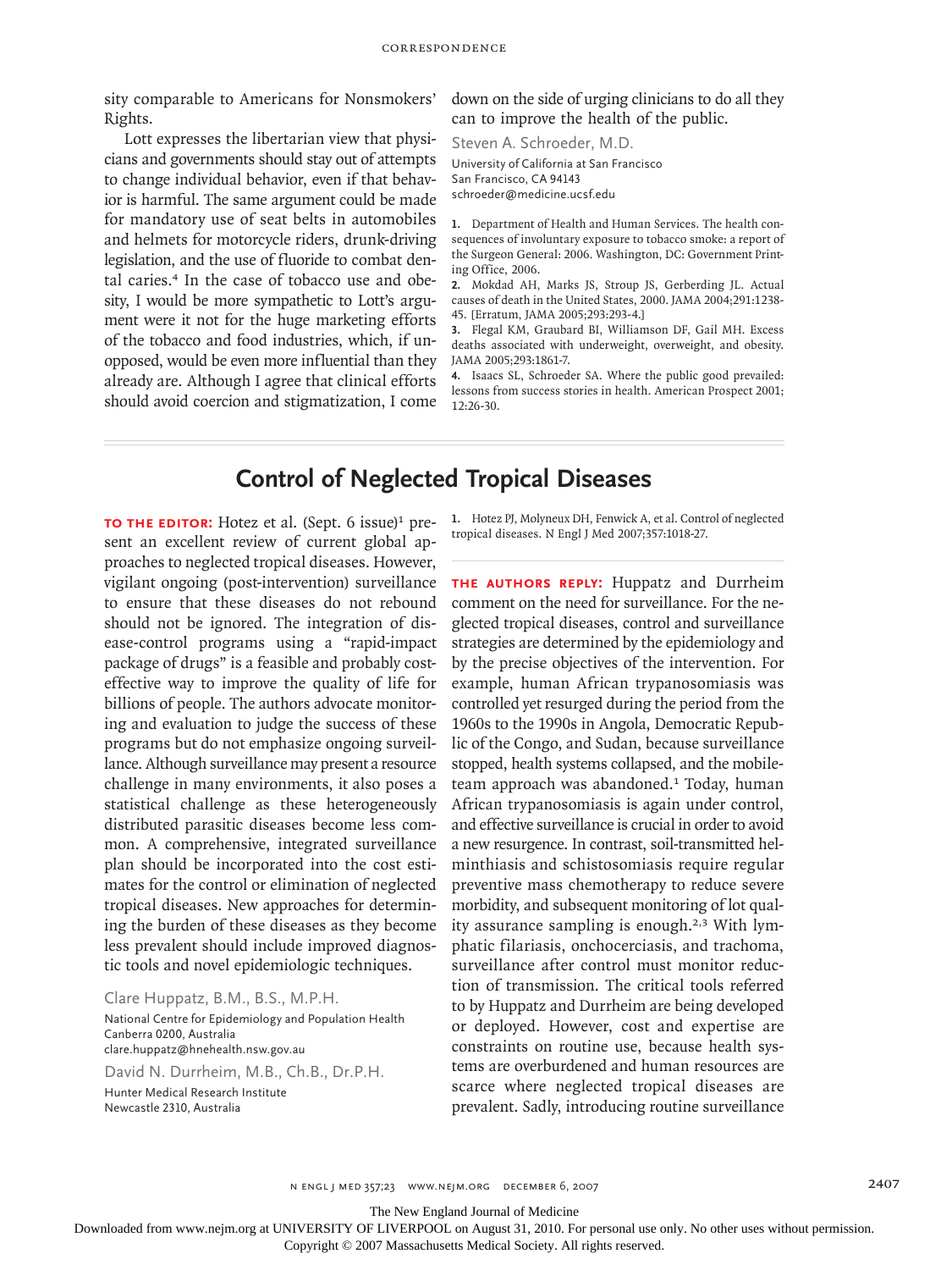sity comparable to Americans for Nonsmokers' Rights.

Lott expresses the libertarian view that physicians and governments should stay out of attempts to change individual behavior, even if that behavior is harmful. The same argument could be made for mandatory use of seat belts in automobiles and helmets for motorcycle riders, drunk-driving legislation, and the use of fluoride to combat dental caries.<sup>4</sup> In the case of tobacco use and obesity, I would be more sympathetic to Lott's argument were it not for the huge marketing efforts of the tobacco and food industries, which, if unopposed, would be even more influential than they already are. Although I agree that clinical efforts should avoid coercion and stigmatization, I come down on the side of urging clinicians to do all they can to improve the health of the public.

Steven A. Schroeder, M.D. University of California at San Francisco San Francisco, CA 94143 schroeder@medicine.ucsf.edu

1. Department of Health and Human Services. The health consequences of involuntary exposure to tobacco smoke: a report of the Surgeon General: 2006. Washington, DC: Government Printing Office, 2006.

2. Mokdad AH, Marks JS, Stroup JS, Gerberding JL. Actual causes of death in the United States, 2000. JAMA 2004;291:1238- 45. [Erratum, JAMA 2005;293:293-4.]

Flegal KM, Graubard BI, Williamson DF, Gail MH. Excess **3.** deaths associated with underweight, overweight, and obesity. JAMA 2005;293:1861-7.

4. Isaacs SL, Schroeder SA. Where the public good prevailed: lessons from success stories in health. American Prospect 2001; 12:26-30.

## **Control of Neglected Tropical Diseases**

**TO THE EDITOR:** Hotez et al. (Sept. 6 issue)<sup>1</sup> present an excellent review of current global approaches to neglected tropical diseases. However, vigilant ongoing (post-intervention) surveillance to ensure that these diseases do not rebound should not be ignored. The integration of disease-control programs using a "rapid-impact package of drugs" is a feasible and probably costeffective way to improve the quality of life for billions of people. The authors advocate monitoring and evaluation to judge the success of these programs but do not emphasize ongoing surveillance. Although surveillance may present a resource challenge in many environments, it also poses a statistical challenge as these heterogeneously distributed parasitic diseases become less common. A comprehensive, integrated surveillance plan should be incorporated into the cost estimates for the control or elimination of neglected tropical diseases. New approaches for determining the burden of these diseases as they become less prevalent should include improved diagnostic tools and novel epidemiologic techniques.

Clare Huppatz, B.M., B.S., M.P.H.

National Centre for Epidemiology and Population Health Canberra 0200, Australia clare.huppatz@hnehealth.nsw.gov.au

David N. Durrheim, M.B., Ch.B., Dr.P.H.

Hunter Medical Research Institute Newcastle 2310, Australia

1. Hotez PJ, Molyneux DH, Fenwick A, et al. Control of neglected tropical diseases. N Engl J Med 2007;357:1018-27.

**The authors reply:** Huppatz and Durrheim comment on the need for surveillance. For the neglected tropical diseases, control and surveillance strategies are determined by the epidemiology and by the precise objectives of the intervention. For example, human African trypanosomiasis was controlled yet resurged during the period from the 1960s to the 1990s in Angola, Democratic Republic of the Congo, and Sudan, because surveillance stopped, health systems collapsed, and the mobileteam approach was abandoned.<sup>1</sup> Today, human African trypanosomiasis is again under control, and effective surveillance is crucial in order to avoid a new resurgence. In contrast, soil-transmitted helminthiasis and schistosomiasis require regular preventive mass chemotherapy to reduce severe morbidity, and subsequent monitoring of lot quality assurance sampling is enough.2,3 With lymphatic filariasis, onchocerciasis, and trachoma, surveillance after control must monitor reduction of transmission. The critical tools referred to by Huppatz and Durrheim are being developed or deployed. However, cost and expertise are constraints on routine use, because health systems are overburdened and human resources are scarce where neglected tropical diseases are prevalent. Sadly, introducing routine surveillance

The New England Journal of Medicine

Downloaded from www.nejm.org at UNIVERSITY OF LIVERPOOL on August 31, 2010. For personal use only. No other uses without permission.

Copyright © 2007 Massachusetts Medical Society. All rights reserved.